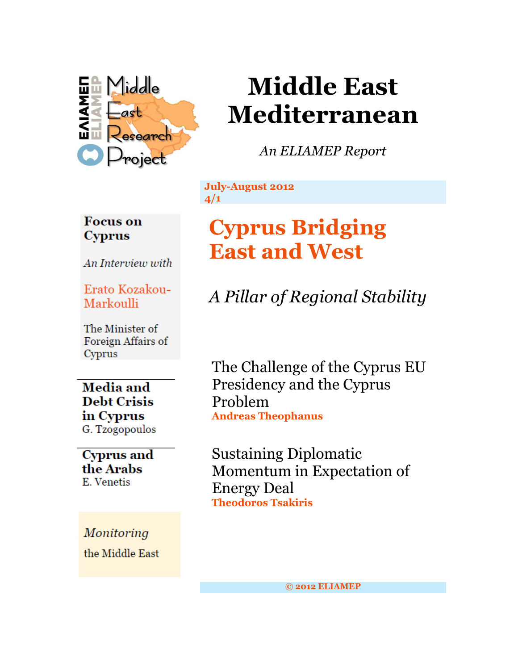

# **Middle East Mediterranean**

*An ELIAMEP Report*

**Focus** on **Cyprus** 

An Interview with

Erato Kozakou-Markoulli

The Minister of Foreign Affairs of Cyprus

Media and **Debt Crisis** in Cyprus G. Tzogopoulos

**Cyprus** and the Arabs E. Venetis

Monitoring the Middle East **July-August 2012 4/1**

# **Cyprus Bridging East and West**

*A Pillar of Regional Stability*

The Challenge of the Cyprus EU Presidency and the Cyprus Problem **Andreas Theophanus**

Sustaining Diplomatic Momentum in Expectation of Energy Deal **Theodoros Tsakiris**

**© 2012 ELIAMEP**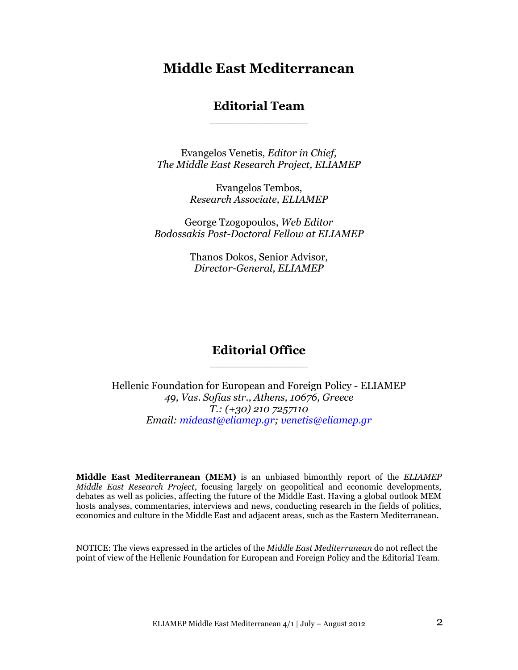## **Middle East Mediterranean**

#### **Editorial Team** \_\_\_\_\_\_\_\_\_\_\_\_\_\_\_

Evangelos Venetis, *Editor in Chief, The Middle East Research Project, ELIAMEP*

> Evangelos Tembos, *Research Associate, ELIAMEP*

George Tzogopoulos, *Web Editor Bodossakis Post-Doctoral Fellow at ELIAMEP*

> Thanos Dokos, Senior Advisor*, Director-General, ELIAMEP*

#### **Editorial Office** \_\_\_\_\_\_\_\_\_\_\_\_\_\_\_

Hellenic Foundation for European and Foreign Policy - ELIAMEP *49, Vas. Sofias str., Athens, 10676, Greece T.: (+30) 210 7257110 Email: [mideast@eliamep.gr;](mailto:mideast@eliamep.gr) [venetis@eliamep.gr](mailto:venetis@eliamep.gr)*

**Middle East Mediterranean (MEM)** is an unbiased bimonthly report of the *ELIAMEP Middle East Research Project*, focusing largely on geopolitical and economic developments, debates as well as policies, affecting the future of the Middle East. Having a global outlook MEM hosts analyses, commentaries, interviews and news, conducting research in the fields of politics, economics and culture in the Middle East and adjacent areas, such as the Eastern Mediterranean.

NOTICE: The views expressed in the articles of the *Middle East Mediterranean* do not reflect the point of view of the Hellenic Foundation for European and Foreign Policy and the Editorial Team.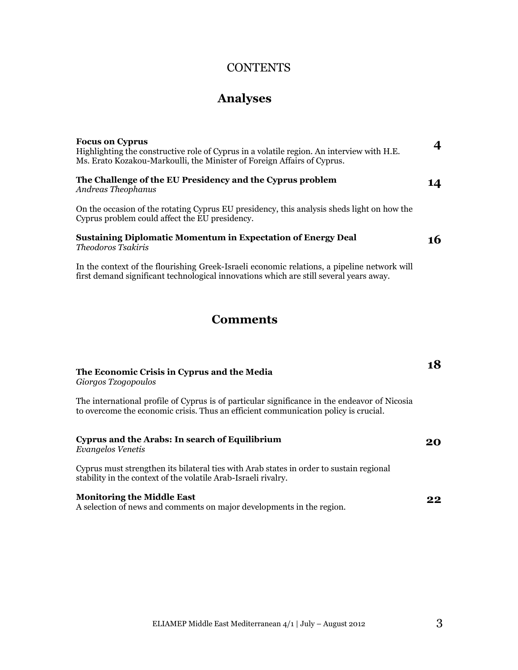## **CONTENTS**

# **Analyses**

| <b>Focus on Cyprus</b><br>Highlighting the constructive role of Cyprus in a volatile region. An interview with H.E.<br>Ms. Erato Kozakou-Markoulli, the Minister of Foreign Affairs of Cyprus. | $\overline{\mathbf{4}}$ |
|------------------------------------------------------------------------------------------------------------------------------------------------------------------------------------------------|-------------------------|
| The Challenge of the EU Presidency and the Cyprus problem<br>Andreas Theophanus                                                                                                                | 14                      |
| On the occasion of the rotating Cyprus EU presidency, this analysis sheds light on how the<br>Cyprus problem could affect the EU presidency.                                                   |                         |
| <b>Sustaining Diplomatic Momentum in Expectation of Energy Deal</b><br><b>Theodoros Tsakiris</b>                                                                                               | 16                      |
| In the context of the flourishing Greek-Israeli economic relations, a pipeline network will<br>first demand significant technological innovations which are still several years away.          |                         |
| <b>Comments</b>                                                                                                                                                                                |                         |
| The Economic Crisis in Cyprus and the Media<br>Giorgos Tzogopoulos                                                                                                                             | 18                      |
| The international profile of Cyprus is of particular significance in the endeavor of Nicosia<br>to overcome the economic crisis. Thus an efficient communication policy is crucial.            |                         |
| Cyprus and the Arabs: In search of Equilibrium<br>Evangelos Venetis                                                                                                                            | 20                      |
| Cyprus must strengthen its bilateral ties with Arab states in order to sustain regional<br>stability in the context of the volatile Arab-Israeli rivalry.                                      |                         |
| <b>Monitoring the Middle East</b><br>A selection of news and comments on major developments in the region.                                                                                     | 22                      |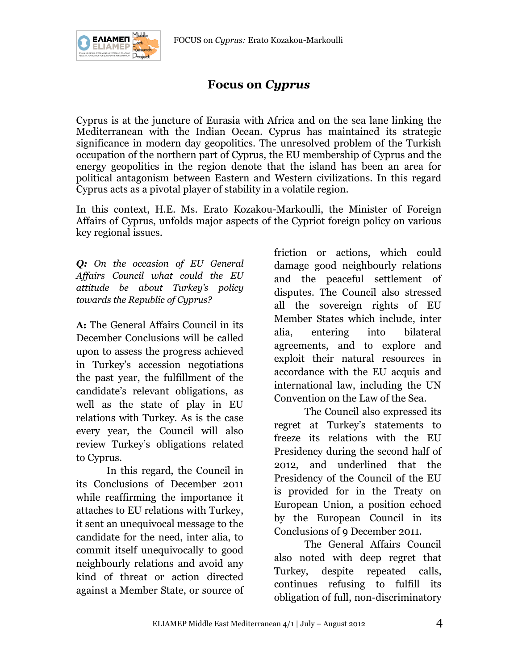

### **Focus on** *Cyprus*

Cyprus is at the juncture of Eurasia with Africa and on the sea lane linking the Mediterranean with the Indian Ocean. Cyprus has maintained its strategic significance in modern day geopolitics. The unresolved problem of the Turkish occupation of the northern part of Cyprus, the EU membership of Cyprus and the energy geopolitics in the region denote that the island has been an area for political antagonism between Eastern and Western civilizations. In this regard Cyprus acts as a pivotal player of stability in a volatile region.

In this context, H.E. Ms. Erato Kozakou-Markoulli, the Minister of Foreign Affairs of Cyprus, unfolds major aspects of the Cypriot foreign policy on various key regional issues.

*Q: On the occasion of EU General Affairs Council what could the EU attitude be about Turkey's policy towards the Republic of Cyprus?*

**A:** The General Affairs Council in its December Conclusions will be called upon to assess the progress achieved in Turkey's accession negotiations the past year, the fulfillment of the candidate's relevant obligations, as well as the state of play in EU relations with Turkey. As is the case every year, the Council will also review Turkey's obligations related to Cyprus.

In this regard, the Council in its Conclusions of December 2011 while reaffirming the importance it attaches to EU relations with Turkey, it sent an unequivocal message to the candidate for the need, inter alia, to commit itself unequivocally to good neighbourly relations and avoid any kind of threat or action directed against a Member State, or source of

friction or actions, which could damage good neighbourly relations and the peaceful settlement of disputes. The Council also stressed all the sovereign rights of EU Member States which include, inter alia, entering into bilateral agreements, and to explore and exploit their natural resources in accordance with the EU acquis and international law, including the UN Convention on the Law of the Sea.

The Council also expressed its regret at Turkey's statements to freeze its relations with the EU Presidency during the second half of 2012, and underlined that the Presidency of the Council of the EU is provided for in the Treaty on European Union, a position echoed by the European Council in its Conclusions of 9 December 2011.

The General Affairs Council also noted with deep regret that Turkey, despite repeated calls, continues refusing to fulfill its obligation of full, non-discriminatory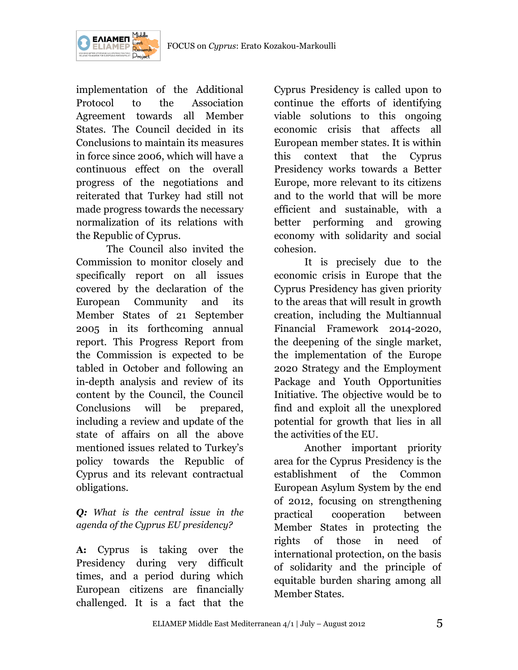

ΕΛΙΑΜΕΠ

implementation of the Additional Protocol to the Association Agreement towards all Member States. The Council decided in its Conclusions to maintain its measures in force since 2006, which will have a continuous effect on the overall progress of the negotiations and reiterated that Turkey had still not made progress towards the necessary normalization of its relations with the Republic of Cyprus.

The Council also invited the Commission to monitor closely and specifically report on all issues covered by the declaration of the European Community and its Member States of 21 September 2005 in its forthcoming annual report. This Progress Report from the Commission is expected to be tabled in October and following an in-depth analysis and review of its content by the Council, the Council Conclusions will be prepared, including a review and update of the state of affairs on all the above mentioned issues related to Turkey's policy towards the Republic of Cyprus and its relevant contractual obligations.

*Q: What is the central issue in the agenda of the Cyprus EU presidency?*

**A:** Cyprus is taking over the Presidency during very difficult times, and a period during which European citizens are financially challenged. It is a fact that the

Cyprus Presidency is called upon to continue the efforts of identifying viable solutions to this ongoing economic crisis that affects all European member states. It is within this context that the Cyprus Presidency works towards a Better Europe, more relevant to its citizens and to the world that will be more efficient and sustainable, with a better performing and growing economy with solidarity and social cohesion.

It is precisely due to the economic crisis in Europe that the Cyprus Presidency has given priority to the areas that will result in growth creation, including the Multiannual Financial Framework 2014-2020, the deepening of the single market, the implementation of the Europe 2020 Strategy and the Employment Package and Youth Opportunities Initiative. The objective would be to find and exploit all the unexplored potential for growth that lies in all the activities of the EU.

Another important priority area for the Cyprus Presidency is the establishment of the Common European Asylum System by the end of 2012, focusing on strengthening practical cooperation between Member States in protecting the rights of those in need of international protection, on the basis of solidarity and the principle of equitable burden sharing among all Member States.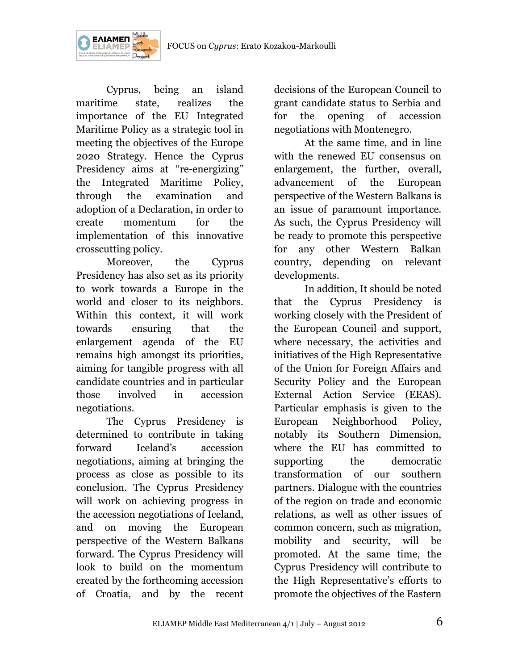

Cyprus, being an island maritime state, realizes the importance of the EU Integrated Maritime Policy as a strategic tool in meeting the objectives of the Europe 2020 Strategy. Hence the Cyprus Presidency aims at "re-energizing" the Integrated Maritime Policy, through the examination and adoption of a Declaration, in order to create momentum for the implementation of this innovative crosscutting policy.

ΕΛΙΑΜΕΠ

Moreover, the Cyprus Presidency has also set as its priority to work towards a Europe in the world and closer to its neighbors. Within this context, it will work towards ensuring that the enlargement agenda of the EU remains high amongst its priorities, aiming for tangible progress with all candidate countries and in particular those involved in accession negotiations.

The Cyprus Presidency is determined to contribute in taking forward Iceland's accession negotiations, aiming at bringing the process as close as possible to its conclusion. The Cyprus Presidency will work on achieving progress in the accession negotiations of Iceland, and on moving the European perspective of the Western Balkans forward. The Cyprus Presidency will look to build on the momentum created by the forthcoming accession of Croatia, and by the recent

decisions of the European Council to grant candidate status to Serbia and for the opening of accession negotiations with Montenegro.

At the same time, and in line with the renewed EU consensus on enlargement, the further, overall, advancement of the European perspective of the Western Balkans is an issue of paramount importance. As such, the Cyprus Presidency will be ready to promote this perspective for any other Western Balkan country, depending on relevant developments.

In addition, It should be noted that the Cyprus Presidency is working closely with the President of the European Council and support, where necessary, the activities and initiatives of the High Representative of the Union for Foreign Affairs and Security Policy and the European External Action Service (EEAS). Particular emphasis is given to the European Neighborhood Policy, notably its Southern Dimension, where the EU has committed to supporting the democratic transformation of our southern partners. Dialogue with the countries of the region on trade and economic relations, as well as other issues of common concern, such as migration, mobility and security, will be promoted. At the same time, the Cyprus Presidency will contribute to the High Representative's efforts to promote the objectives of the Eastern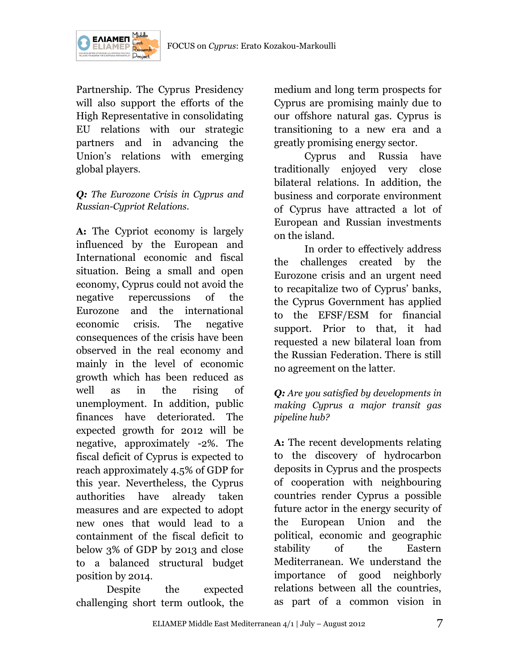

ΕΛΙΑΜΕΠ

Partnership. The Cyprus Presidency will also support the efforts of the High Representative in consolidating EU relations with our strategic partners and in advancing the Union's relations with emerging global players.

#### *Q: The Eurozone Crisis in Cyprus and Russian-Cypriot Relations.*

**A:** The Cypriot economy is largely influenced by the European and International economic and fiscal situation. Being a small and open economy, Cyprus could not avoid the negative repercussions of the Eurozone and the international economic crisis. The negative consequences of the crisis have been observed in the real economy and mainly in the level of economic growth which has been reduced as well as in the rising of unemployment. In addition, public finances have deteriorated. The expected growth for 2012 will be negative, approximately -2%. The fiscal deficit of Cyprus is expected to reach approximately 4.5% of GDP for this year. Nevertheless, the Cyprus authorities have already taken measures and are expected to adopt new ones that would lead to a containment of the fiscal deficit to below 3% of GDP by 2013 and close to a balanced structural budget position by 2014.

Despite the expected challenging short term outlook, the

medium and long term prospects for Cyprus are promising mainly due to our offshore natural gas. Cyprus is transitioning to a new era and a greatly promising energy sector.

Cyprus and Russia have traditionally enjoyed very close bilateral relations. In addition, the business and corporate environment of Cyprus have attracted a lot of European and Russian investments on the island.

In order to effectively address the challenges created by the Eurozone crisis and an urgent need to recapitalize two of Cyprus' banks, the Cyprus Government has applied to the EFSF/ESM for financial support. Prior to that, it had requested a new bilateral loan from the Russian Federation. There is still no agreement on the latter.

*Q: Are you satisfied by developments in making Cyprus a major transit gas pipeline hub?*

**A:** The recent developments relating to the discovery of hydrocarbon deposits in Cyprus and the prospects of cooperation with neighbouring countries render Cyprus a possible future actor in the energy security of the European Union and the political, economic and geographic stability of the Eastern Mediterranean. We understand the importance of good neighborly relations between all the countries, as part of a common vision in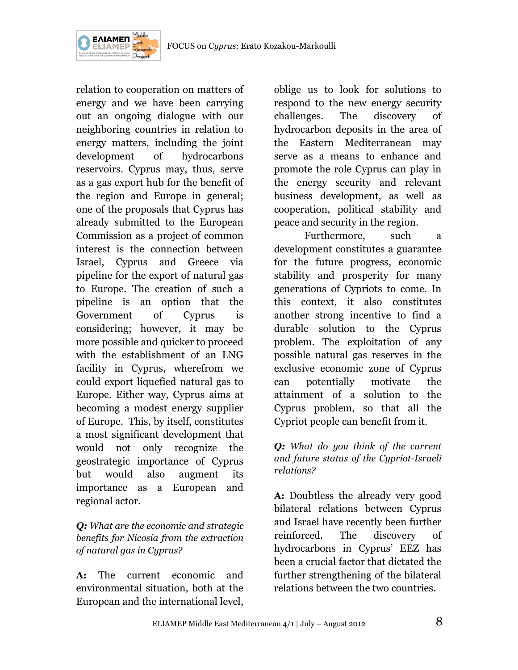



relation to cooperation on matters of energy and we have been carrying out an ongoing dialogue with our neighboring countries in relation to energy matters, including the joint development of hydrocarbons reservoirs. Cyprus may, thus, serve as a gas export hub for the benefit of the region and Europe in general; one of the proposals that Cyprus has already submitted to the European Commission as a project of common interest is the connection between Israel, Cyprus and Greece via pipeline for the export of natural gas to Europe. The creation of such a pipeline is an option that the Government of Cyprus is considering; however, it may be more possible and quicker to proceed with the establishment of an LNG facility in Cyprus, wherefrom we could export liquefied natural gas to Europe. Either way, Cyprus aims at becoming a modest energy supplier of Europe. This, by itself, constitutes a most significant development that would not only recognize the geostrategic importance of Cyprus but would also augment its importance as a European and regional actor.

#### *Q: What are the economic and strategic benefits for Nicosia from the extraction of natural gas in Cyprus?*

**A:** The current economic and environmental situation, both at the European and the international level,

oblige us to look for solutions to respond to the new energy security challenges. The discovery of hydrocarbon deposits in the area of the Eastern Mediterranean may serve as a means to enhance and promote the role Cyprus can play in the energy security and relevant business development, as well as cooperation, political stability and peace and security in the region.

Furthermore, such a development constitutes a guarantee for the future progress, economic stability and prosperity for many generations of Cypriots to come. In this context, it also constitutes another strong incentive to find a durable solution to the Cyprus problem. The exploitation of any possible natural gas reserves in the exclusive economic zone of Cyprus can potentially motivate the attainment of a solution to the Cyprus problem, so that all the Cypriot people can benefit from it.

*Q: What do you think of the current and future status of the Cypriot-Israeli relations?*

**A:** Doubtless the already very good bilateral relations between Cyprus and Israel have recently been further reinforced. The discovery of hydrocarbons in Cyprus' EEZ has been a crucial factor that dictated the further strengthening of the bilateral relations between the two countries.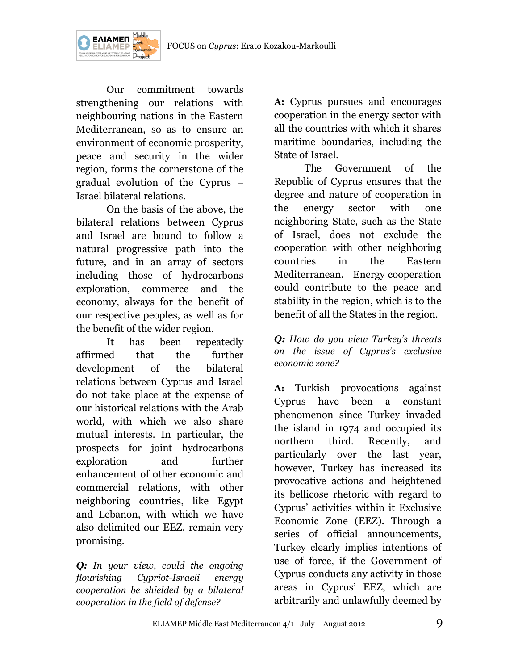

Our commitment towards strengthening our relations with neighbouring nations in the Eastern Mediterranean, so as to ensure an environment of economic prosperity, peace and security in the wider region, forms the cornerstone of the gradual evolution of the Cyprus – Israel bilateral relations.

ΕΛΙΑΜΕΠ

On the basis of the above, the bilateral relations between Cyprus and Israel are bound to follow a natural progressive path into the future, and in an array of sectors including those of hydrocarbons exploration, commerce and the economy, always for the benefit of our respective peoples, as well as for the benefit of the wider region.

It has been repeatedly affirmed that the further development of the bilateral relations between Cyprus and Israel do not take place at the expense of our historical relations with the Arab world, with which we also share mutual interests. In particular, the prospects for joint hydrocarbons exploration and further enhancement of other economic and commercial relations, with other neighboring countries, like Egypt and Lebanon, with which we have also delimited our EEZ, remain very promising.

*Q: In your view, could the ongoing flourishing Cypriot-Israeli energy cooperation be shielded by a bilateral cooperation in the field of defense?*

**A:** Cyprus pursues and encourages cooperation in the energy sector with all the countries with which it shares maritime boundaries, including the State of Israel.

The Government of the Republic of Cyprus ensures that the degree and nature of cooperation in the energy sector with one neighboring State, such as the State of Israel, does not exclude the cooperation with other neighboring countries in the Eastern Mediterranean. Energy cooperation could contribute to the peace and stability in the region, which is to the benefit of all the States in the region.

*Q: How do you view Turkey's threats on the issue of Cyprus's exclusive economic zone?*

**A:** Turkish provocations against Cyprus have been a constant phenomenon since Turkey invaded the island in 1974 and occupied its northern third. Recently, and particularly over the last year, however, Turkey has increased its provocative actions and heightened its bellicose rhetoric with regard to Cyprus' activities within it Exclusive Economic Zone (EEZ). Through a series of official announcements, Turkey clearly implies intentions of use of force, if the Government of Cyprus conducts any activity in those areas in Cyprus' EEZ, which are arbitrarily and unlawfully deemed by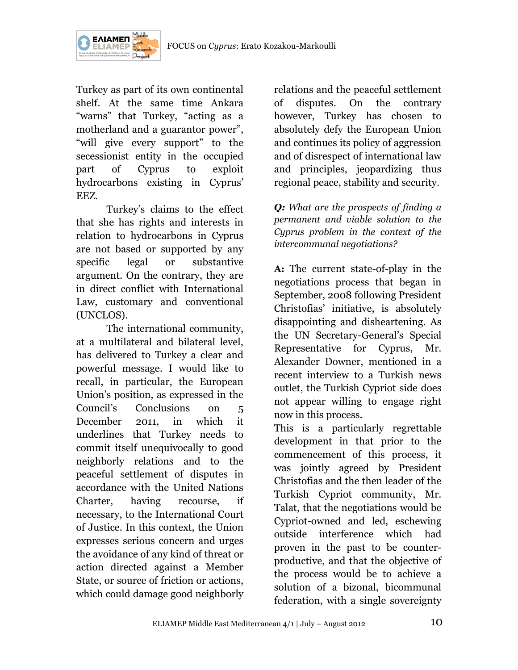



Turkey as part of its own continental shelf. At the same time Ankara "warns" that Turkey, "acting as a motherland and a guarantor power", "will give every support" to the secessionist entity in the occupied part of Cyprus to exploit hydrocarbons existing in Cyprus' EEZ.

Turkey's claims to the effect that she has rights and interests in relation to hydrocarbons in Cyprus are not based or supported by any specific legal or substantive argument. On the contrary, they are in direct conflict with International Law, customary and conventional (UNCLOS).

The international community, at a multilateral and bilateral level, has delivered to Turkey a clear and powerful message. I would like to recall, in particular, the European Union's position, as expressed in the Council's Conclusions on 5 December 2011, in which it underlines that Turkey needs to commit itself unequivocally to good neighborly relations and to the peaceful settlement of disputes in accordance with the United Nations Charter, having recourse, if necessary, to the International Court of Justice. In this context, the Union expresses serious concern and urges the avoidance of any kind of threat or action directed against a Member State, or source of friction or actions, which could damage good neighborly

relations and the peaceful settlement of disputes. On the contrary however, Turkey has chosen to absolutely defy the European Union and continues its policy of aggression and of disrespect of international law and principles, jeopardizing thus regional peace, stability and security.

*Q: What are the prospects of finding a permanent and viable solution to the Cyprus problem in the context of the intercommunal negotiations?*

**A:** The current state-of-play in the negotiations process that began in September, 2008 following President Christofias' initiative, is absolutely disappointing and disheartening. As the UN Secretary-General's Special Representative for Cyprus, Mr. Alexander Downer, mentioned in a recent interview to a Turkish news outlet, the Turkish Cypriot side does not appear willing to engage right now in this process.

This is a particularly regrettable development in that prior to the commencement of this process, it was jointly agreed by President Christofias and the then leader of the Turkish Cypriot community, Mr. Talat, that the negotiations would be Cypriot-owned and led, eschewing outside interference which had proven in the past to be counterproductive, and that the objective of the process would be to achieve a solution of a bizonal, bicommunal federation, with a single sovereignty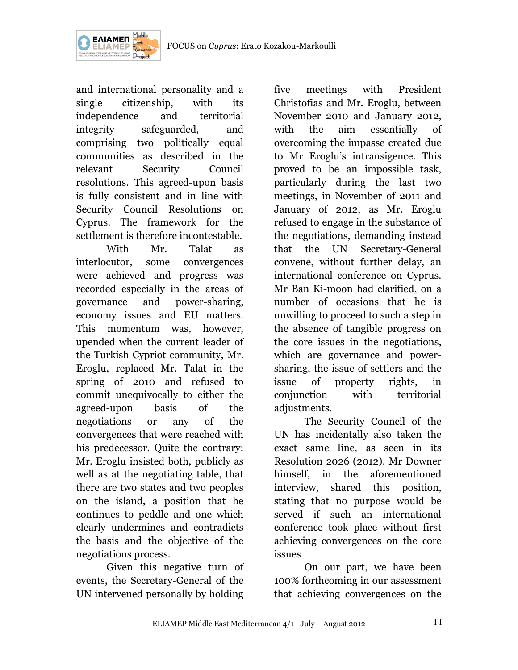

and international personality and a single citizenship, with its independence and territorial integrity safeguarded, and comprising two politically equal communities as described in the relevant Security Council resolutions. This agreed-upon basis is fully consistent and in line with Security Council Resolutions on Cyprus. The framework for the settlement is therefore incontestable.

With Mr. Talat as interlocutor, some convergences were achieved and progress was recorded especially in the areas of governance and power-sharing, economy issues and EU matters. This momentum was, however, upended when the current leader of the Turkish Cypriot community, Mr. Eroglu, replaced Mr. Talat in the spring of 2010 and refused to commit unequivocally to either the agreed-upon basis of the negotiations or any of the convergences that were reached with his predecessor. Quite the contrary: Mr. Eroglu insisted both, publicly as well as at the negotiating table, that there are two states and two peoples on the island, a position that he continues to peddle and one which clearly undermines and contradicts the basis and the objective of the negotiations process.

Given this negative turn of events, the Secretary-General of the UN intervened personally by holding

five meetings with President Christofias and Mr. Eroglu, between November 2010 and January 2012, with the aim essentially of overcoming the impasse created due to Mr Eroglu's intransigence. This proved to be an impossible task, particularly during the last two meetings, in November of 2011 and January of 2012, as Mr. Eroglu refused to engage in the substance of the negotiations, demanding instead that the UN Secretary-General convene, without further delay, an international conference on Cyprus. Mr Ban Ki-moon had clarified, on a number of occasions that he is unwilling to proceed to such a step in the absence of tangible progress on the core issues in the negotiations, which are governance and powersharing, the issue of settlers and the issue of property rights, in conjunction with territorial adjustments.

The Security Council of the UN has incidentally also taken the exact same line, as seen in its Resolution 2026 (2012). Mr Downer himself, in the aforementioned interview, shared this position, stating that no purpose would be served if such an international conference took place without first achieving convergences on the core issues

On our part, we have been 100% forthcoming in our assessment that achieving convergences on the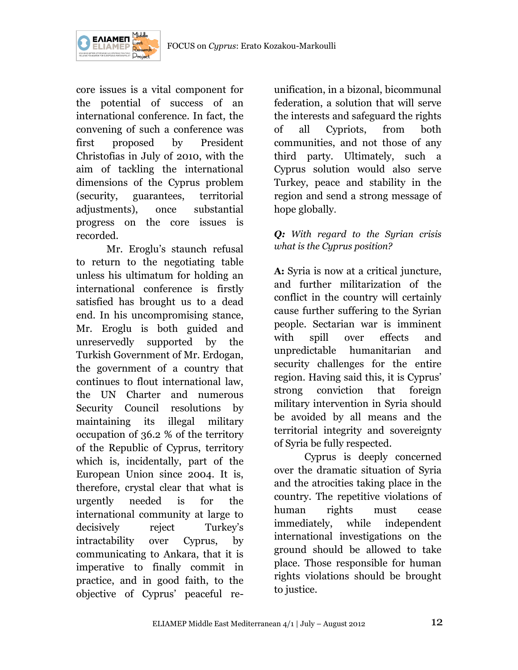

core issues is a vital component for the potential of success of an international conference. In fact, the convening of such a conference was first proposed by President Christofias in July of 2010, with the aim of tackling the international dimensions of the Cyprus problem (security, guarantees, territorial adjustments), once substantial progress on the core issues is recorded.

ΕΛΙΑΜΕΠ

Mr. Eroglu's staunch refusal to return to the negotiating table unless his ultimatum for holding an international conference is firstly satisfied has brought us to a dead end. In his uncompromising stance, Mr. Eroglu is both guided and unreservedly supported by the Turkish Government of Mr. Erdogan, the government of a country that continues to flout international law, the UN Charter and numerous Security Council resolutions by maintaining its illegal military occupation of 36.2 % of the territory of the Republic of Cyprus, territory which is, incidentally, part of the European Union since 2004. It is, therefore, crystal clear that what is urgently needed is for the international community at large to decisively reject Turkey's intractability over Cyprus, by communicating to Ankara, that it is imperative to finally commit in practice, and in good faith, to the objective of Cyprus' peaceful reunification, in a bizonal, bicommunal federation, a solution that will serve the interests and safeguard the rights of all Cypriots, from both communities, and not those of any third party. Ultimately, such a Cyprus solution would also serve Turkey, peace and stability in the region and send a strong message of hope globally.

#### *Q: With regard to the Syrian crisis what is the Cyprus position?*

**A:** Syria is now at a critical juncture, and further militarization of the conflict in the country will certainly cause further suffering to the Syrian people. Sectarian war is imminent with spill over effects and unpredictable humanitarian and security challenges for the entire region. Having said this, it is Cyprus' strong conviction that foreign military intervention in Syria should be avoided by all means and the territorial integrity and sovereignty of Syria be fully respected.

Cyprus is deeply concerned over the dramatic situation of Syria and the atrocities taking place in the country. The repetitive violations of human rights must cease immediately, while independent international investigations on the ground should be allowed to take place. Those responsible for human rights violations should be brought to justice.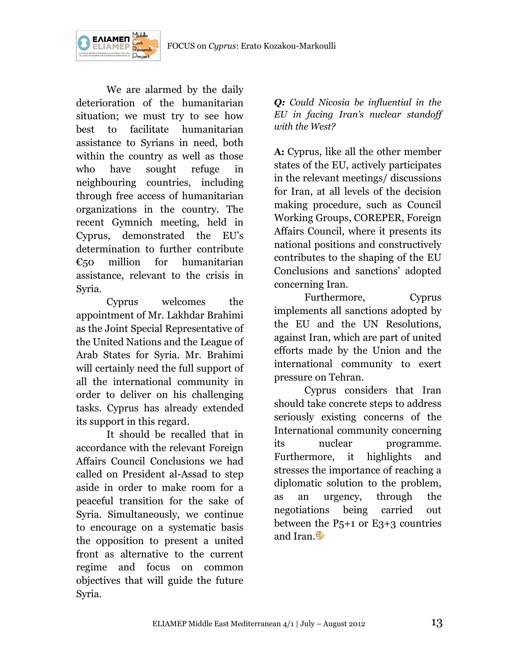

We are alarmed by the daily deterioration of the humanitarian situation; we must try to see how best to facilitate humanitarian assistance to Syrians in need, both within the country as well as those who have sought refuge in neighbouring countries, including through free access of humanitarian organizations in the country. The recent Gymnich meeting, held in Cyprus, demonstrated the EU's determination to further contribute €50 million for humanitarian assistance, relevant to the crisis in Syria.

Cyprus welcomes the appointment of Mr. Lakhdar Brahimi as the Joint Special Representative of the United Nations and the League of Arab States for Syria. Mr. Brahimi will certainly need the full support of all the international community in order to deliver on his challenging tasks. Cyprus has already extended its support in this regard.

It should be recalled that in accordance with the relevant Foreign Affairs Council Conclusions we had called on President al-Assad to step aside in order to make room for a peaceful transition for the sake of Syria. Simultaneously, we continue to encourage on a systematic basis the opposition to present a united front as alternative to the current regime and focus on common objectives that will guide the future Syria.

*Q: Could Nicosia be influential in the EU in facing Iran's nuclear standoff with the West?*

**A:** Cyprus, like all the other member states of the EU, actively participates in the relevant meetings/ discussions for Iran, at all levels of the decision making procedure, such as Council Working Groups, COREPER, Foreign Affairs Council, where it presents its national positions and constructively contributes to the shaping of the EU Conclusions and sanctions' adopted concerning Iran.

Furthermore, Cyprus implements all sanctions adopted by the EU and the UN Resolutions, against Iran, which are part of united efforts made by the Union and the international community to exert pressure on Tehran.

Cyprus considers that Iran should take concrete steps to address seriously existing concerns of the International community concerning its nuclear programme. Furthermore, it highlights and stresses the importance of reaching a diplomatic solution to the problem, as an urgency, through the negotiations being carried out between the P5+1 or E3+3 countries and Iran.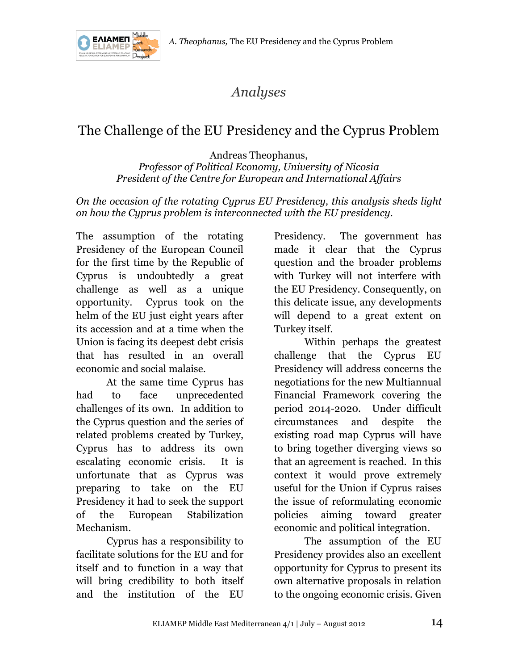

# *Analyses*

# The Challenge of the EU Presidency and the Cyprus Problem

Andreas Theophanus, *Professor of Political Economy, University of Nicosia President of the Centre for European and International Affairs*

*On the occasion of the rotating Cyprus EU Presidency, this analysis sheds light on how the Cyprus problem is interconnected with the EU presidency.*

The assumption of the rotating Presidency of the European Council for the first time by the Republic of Cyprus is undoubtedly a great challenge as well as a unique opportunity. Cyprus took on the helm of the EU just eight years after its accession and at a time when the Union is facing its deepest debt crisis that has resulted in an overall economic and social malaise.

At the same time Cyprus has had to face unprecedented challenges of its own. In addition to the Cyprus question and the series of related problems created by Turkey, Cyprus has to address its own escalating economic crisis. It is unfortunate that as Cyprus was preparing to take on the EU Presidency it had to seek the support of the European Stabilization Mechanism.

Cyprus has a responsibility to facilitate solutions for the EU and for itself and to function in a way that will bring credibility to both itself and the institution of the EU

Presidency. The government has made it clear that the Cyprus question and the broader problems with Turkey will not interfere with the EU Presidency. Consequently, on this delicate issue, any developments will depend to a great extent on Turkey itself.

Within perhaps the greatest challenge that the Cyprus EU Presidency will address concerns the negotiations for the new Multiannual Financial Framework covering the period 2014-2020. Under difficult circumstances and despite the existing road map Cyprus will have to bring together diverging views so that an agreement is reached. In this context it would prove extremely useful for the Union if Cyprus raises the issue of reformulating economic policies aiming toward greater economic and political integration.

The assumption of the EU Presidency provides also an excellent opportunity for Cyprus to present its own alternative proposals in relation to the ongoing economic crisis. Given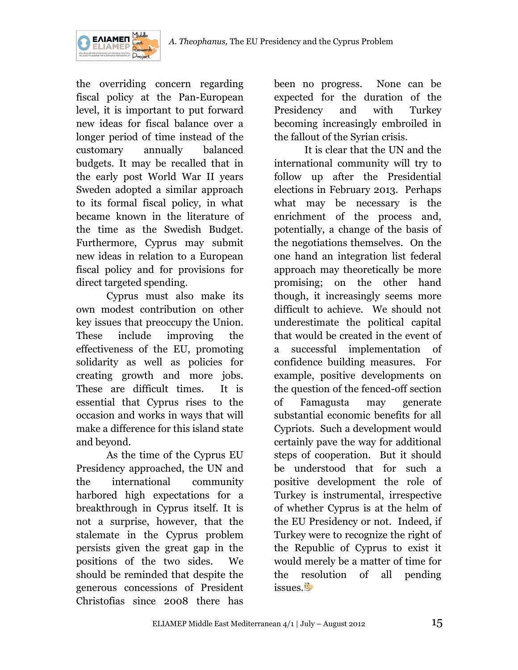

the overriding concern regarding fiscal policy at the Pan-European level, it is important to put forward new ideas for fiscal balance over a longer period of time instead of the customary annually balanced budgets. It may be recalled that in the early post World War II years Sweden adopted a similar approach to its formal fiscal policy, in what became known in the literature of the time as the Swedish Budget. Furthermore, Cyprus may submit new ideas in relation to a European fiscal policy and for provisions for direct targeted spending.

Cyprus must also make its own modest contribution on other key issues that preoccupy the Union. These include improving the effectiveness of the EU, promoting solidarity as well as policies for creating growth and more jobs. These are difficult times. It is essential that Cyprus rises to the occasion and works in ways that will make a difference for this island state and beyond.

As the time of the Cyprus EU Presidency approached, the UN and the international community harbored high expectations for a breakthrough in Cyprus itself. It is not a surprise, however, that the stalemate in the Cyprus problem persists given the great gap in the positions of the two sides. We should be reminded that despite the generous concessions of President Christofias since 2008 there has

been no progress. None can be expected for the duration of the Presidency and with Turkey becoming increasingly embroiled in the fallout of the Syrian crisis.

It is clear that the UN and the international community will try to follow up after the Presidential elections in February 2013. Perhaps what may be necessary is the enrichment of the process and, potentially, a change of the basis of the negotiations themselves. On the one hand an integration list federal approach may theoretically be more promising; on the other hand though, it increasingly seems more difficult to achieve. We should not underestimate the political capital that would be created in the event of a successful implementation of confidence building measures. For example, positive developments on the question of the fenced-off section of Famagusta may generate substantial economic benefits for all Cypriots. Such a development would certainly pave the way for additional steps of cooperation. But it should be understood that for such a positive development the role of Turkey is instrumental, irrespective of whether Cyprus is at the helm of the EU Presidency or not. Indeed, if Turkey were to recognize the right of the Republic of Cyprus to exist it would merely be a matter of time for the resolution of all pending issues.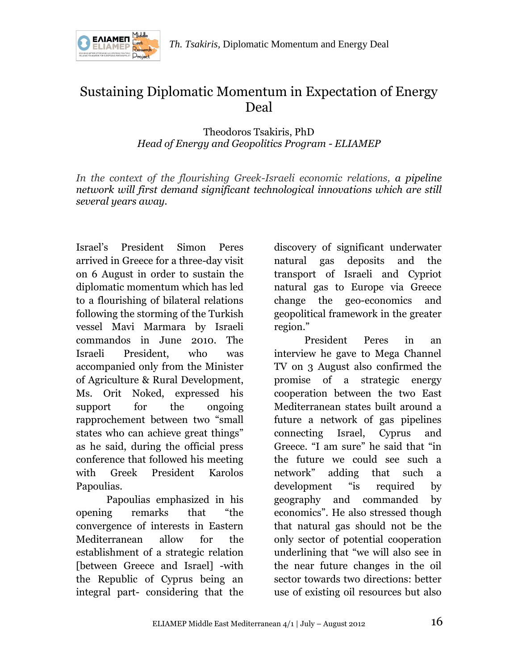

## Sustaining Diplomatic Momentum in Expectation of Energy Deal

Theodoros Tsakiris, PhD *Head of Energy and Geopolitics Program - ELIAMEP*

*In the context of the flourishing Greek-Israeli economic relations, a pipeline network will first demand significant technological innovations which are still several years away.*

Israel's President Simon Peres arrived in Greece for a three-day visit on 6 August in order to sustain the diplomatic momentum which has led to a flourishing of bilateral relations following the storming of the Turkish vessel Mavi Marmara by Israeli commandos in June 2010. The Israeli President, who was accompanied only from the Minister of Agriculture & Rural Development, Ms. Orit Noked, expressed his support for the ongoing rapprochement between two "small states who can achieve great things" as he said, during the official press conference that followed his meeting with Greek President Karolos Papoulias.

Papoulias emphasized in his opening remarks that "the convergence of interests in Eastern Mediterranean allow for the establishment of a strategic relation [between Greece and Israel] -with the Republic of Cyprus being an integral part- considering that the

discovery of significant underwater natural gas deposits and the transport of Israeli and Cypriot natural gas to Europe via Greece change the geo-economics and geopolitical framework in the greater region."

President Peres in an interview he gave to Mega Channel TV on 3 August also confirmed the promise of a strategic energy cooperation between the two East Mediterranean states built around a future a network of gas pipelines connecting Israel, Cyprus and Greece. "I am sure" he said that "in the future we could see such a network" adding that such a development "is required by geography and commanded by economics". He also stressed though that natural gas should not be the only sector of potential cooperation underlining that "we will also see in the near future changes in the oil sector towards two directions: better use of existing oil resources but also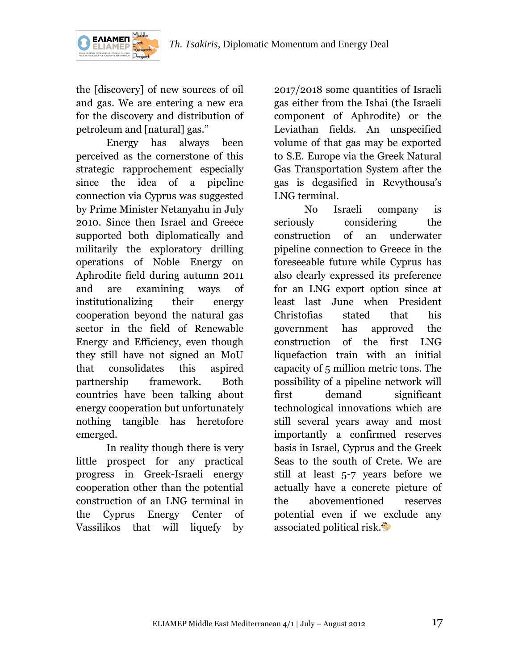

the [discovery] of new sources of oil and gas. We are entering a new era for the discovery and distribution of petroleum and [natural] gas."

ΕΛΙΑΜΕΠ

Energy has always been perceived as the cornerstone of this strategic rapprochement especially since the idea of a pipeline connection via Cyprus was suggested by Prime Minister Netanyahu in July 2010. Since then Israel and Greece supported both diplomatically and militarily the exploratory drilling operations of Noble Energy on Aphrodite field during autumn 2011 and are examining ways of institutionalizing their energy cooperation beyond the natural gas sector in the field of Renewable Energy and Efficiency, even though they still have not signed an MoU that consolidates this aspired partnership framework. Both countries have been talking about energy cooperation but unfortunately nothing tangible has heretofore emerged.

In reality though there is very little prospect for any practical progress in Greek-Israeli energy cooperation other than the potential construction of an LNG terminal in the Cyprus Energy Center of Vassilikos that will liquefy by

2017/2018 some quantities of Israeli gas either from the Ishai (the Israeli component of Aphrodite) or the Leviathan fields. An unspecified volume of that gas may be exported to S.E. Europe via the Greek Natural Gas Transportation System after the gas is degasified in Revythousa's LNG terminal.

No Israeli company is seriously considering the construction of an underwater pipeline connection to Greece in the foreseeable future while Cyprus has also clearly expressed its preference for an LNG export option since at least last June when President Christofias stated that his government has approved the construction of the first LNG liquefaction train with an initial capacity of 5 million metric tons. The possibility of a pipeline network will first demand significant technological innovations which are still several years away and most importantly a confirmed reserves basis in Israel, Cyprus and the Greek Seas to the south of Crete. We are still at least 5-7 years before we actually have a concrete picture of the abovementioned reserves potential even if we exclude any associated political risk.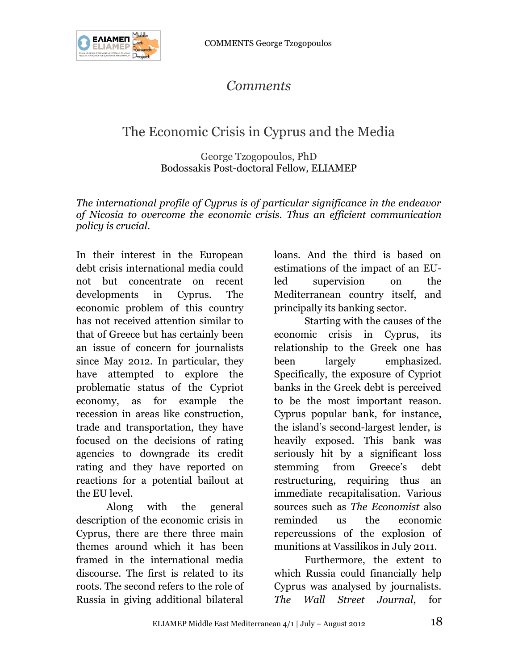

### *Comments*

# The Economic Crisis in Cyprus and the Media

George Tzogopoulos, PhD Bodossakis Post-doctoral Fellow*,* ELIAMEP

*The international profile of Cyprus is of particular significance in the endeavor of Nicosia to overcome the economic crisis. Thus an efficient communication policy is crucial.*

In their interest in the European debt crisis international media could not but concentrate on recent developments in Cyprus. The economic problem of this country has not received attention similar to that of Greece but has certainly been an issue of concern for journalists since May 2012. In particular, they have attempted to explore the problematic status of the Cypriot economy, as for example the recession in areas like construction, trade and transportation, they have focused on the decisions of rating agencies to downgrade its credit rating and they have reported on reactions for a potential bailout at the EU level.

Along with the general description of the economic crisis in Cyprus, there are there three main themes around which it has been framed in the international media discourse. The first is related to its roots. The second refers to the role of Russia in giving additional bilateral

loans. And the third is based on estimations of the impact of an EUled supervision on the Mediterranean country itself, and principally its banking sector.

Starting with the causes of the economic crisis in Cyprus, its relationship to the Greek one has been largely emphasized. Specifically, the exposure of Cypriot banks in the Greek debt is perceived to be the most important reason. Cyprus popular bank, for instance, the island's second-largest lender, is heavily exposed. This bank was seriously hit by a significant loss stemming from Greece's debt restructuring, requiring thus an immediate recapitalisation. Various sources such as *The Economist* also reminded us the economic repercussions of the explosion of munitions at Vassilikos in July 2011.

Furthermore, the extent to which Russia could financially help Cyprus was analysed by journalists. *The Wall Street Journal*, for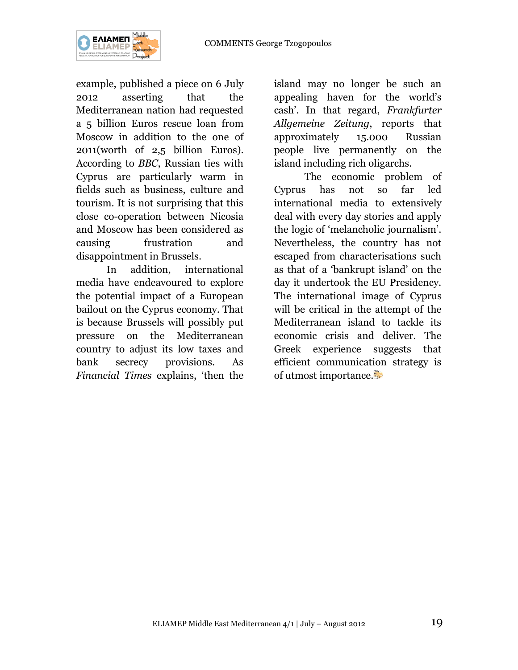

example, published a piece on 6 July 2012 asserting that the Mediterranean nation had requested a 5 billion Euros rescue loan from Moscow in addition to the one of 2011(worth of 2,5 billion Euros). According to *BBC*, Russian ties with Cyprus are particularly warm in fields such as business, culture and tourism. It is not surprising that this close co-operation between Nicosia and Moscow has been considered as causing frustration and disappointment in Brussels.

In addition, international media have endeavoured to explore the potential impact of a European bailout on the Cyprus economy. That is because Brussels will possibly put pressure on the Mediterranean country to adjust its low taxes and bank secrecy provisions. As *Financial Times* explains, 'then the

island may no longer be such an appealing haven for the world's cash'. In that regard, *Frankfurter Allgemeine Zeitung*, reports that approximately 15.000 Russian people live permanently on the island including rich oligarchs.

The economic problem of Cyprus has not so far led international media to extensively deal with every day stories and apply the logic of 'melancholic journalism'. Nevertheless, the country has not escaped from characterisations such as that of a 'bankrupt island' on the day it undertook the EU Presidency. The international image of Cyprus will be critical in the attempt of the Mediterranean island to tackle its economic crisis and deliver. The Greek experience suggests that efficient communication strategy is of utmost importance.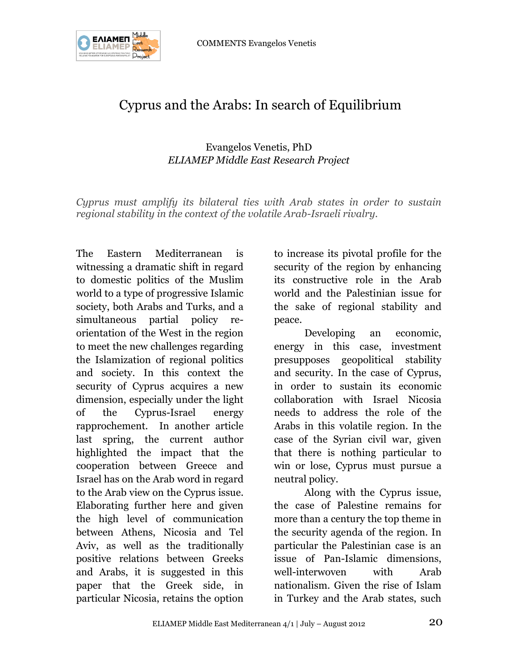

# Cyprus and the Arabs: In search of Equilibrium

Evangelos Venetis, PhD *ELIAMEP Middle East Research Project*

*Cyprus must amplify its bilateral ties with Arab states in order to sustain regional stability in the context of the volatile Arab-Israeli rivalry.* 

The Eastern Mediterranean is witnessing a dramatic shift in regard to domestic politics of the Muslim world to a type of progressive Islamic society, both Arabs and Turks, and a simultaneous partial policy reorientation of the West in the region to meet the new challenges regarding the Islamization of regional politics and society. In this context the security of Cyprus acquires a new dimension, especially under the light of the Cyprus-Israel energy rapprochement. In another article last spring, the current author highlighted the impact that the cooperation between Greece and Israel has on the Arab word in regard to the Arab view on the Cyprus issue. Elaborating further here and given the high level of communication between Athens, Nicosia and Tel Aviv, as well as the traditionally positive relations between Greeks and Arabs, it is suggested in this paper that the Greek side, in particular Nicosia, retains the option

to increase its pivotal profile for the security of the region by enhancing its constructive role in the Arab world and the Palestinian issue for the sake of regional stability and peace.

Developing an economic, energy in this case, investment presupposes geopolitical stability and security. In the case of Cyprus, in order to sustain its economic collaboration with Israel Nicosia needs to address the role of the Arabs in this volatile region. In the case of the Syrian civil war, given that there is nothing particular to win or lose, Cyprus must pursue a neutral policy.

Along with the Cyprus issue, the case of Palestine remains for more than a century the top theme in the security agenda of the region. In particular the Palestinian case is an issue of Pan-Islamic dimensions, well-interwoven with Arab nationalism. Given the rise of Islam in Turkey and the Arab states, such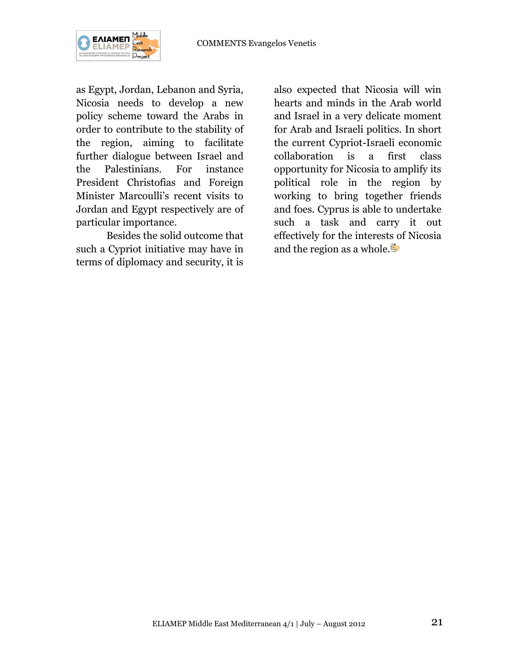

as Egypt, Jordan, Lebanon and Syria, Nicosia needs to develop a new policy scheme toward the Arabs in order to contribute to the stability of the region, aiming to facilitate further dialogue between Israel and the Palestinians. For instance President Christofias and Foreign Minister Marcoulli's recent visits to Jordan and Egypt respectively are of particular importance.

Besides the solid outcome that such a Cypriot initiative may have in terms of diplomacy and security, it is

also expected that Nicosia will win hearts and minds in the Arab world and Israel in a very delicate moment for Arab and Israeli politics. In short the current Cypriot-Israeli economic collaboration is a first class opportunity for Nicosia to amplify its political role in the region by working to bring together friends and foes. Cyprus is able to undertake such a task and carry it out effectively for the interests of Nicosia and the region as a whole.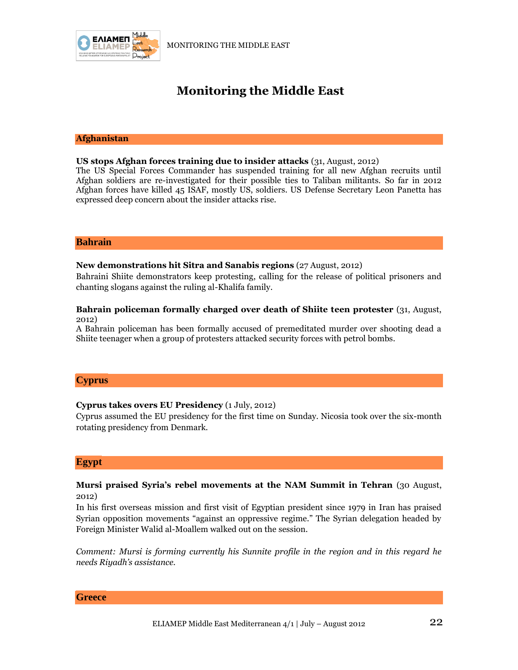

MONITORING THE MIDDLE EAST

## **Monitoring the Middle East**

#### **Afghanistan**

#### **US stops Afghan forces training due to insider attacks** (31, August, 2012)

The US Special Forces Commander has suspended training for all new Afghan recruits until Afghan soldiers are re-investigated for their possible ties to Taliban militants. So far in 2012 Afghan forces have killed 45 ISAF, mostly US, soldiers. US Defense Secretary Leon Panetta has expressed deep concern about the insider attacks rise.

#### **Bahrain**

#### **New demonstrations hit Sitra and Sanabis regions** (27 August, 2012)

Bahraini Shiite demonstrators keep protesting, calling for the release of political prisoners and chanting slogans against the ruling al-Khalifa family.

#### **Bahrain policeman formally charged over death of Shiite teen protester** (31, August, 2012)

A Bahrain policeman has been formally accused of premeditated murder over shooting dead a Shiite teenager when a group of protesters attacked security forces with petrol bombs.

#### **Cyprus**

#### **Cyprus takes overs EU Presidency** (1 July, 2012)

Cyprus assumed the EU presidency for the first time on Sunday. Nicosia took over the six-month rotating presidency from Denmark.

#### **Egypt**

#### **Mursi praised Syria's rebel movements at the NAM Summit in Tehran** (30 August, 2012)

In his first overseas mission and first visit of Egyptian president since 1979 in Iran has praised Syrian opposition movements "against an oppressive regime." The Syrian delegation headed by Foreign Minister Walid al-Moallem walked out on the session.

*Comment: Mursi is forming currently his Sunnite profile in the region and in this regard he needs Riyadh's assistance.* 

**Greece**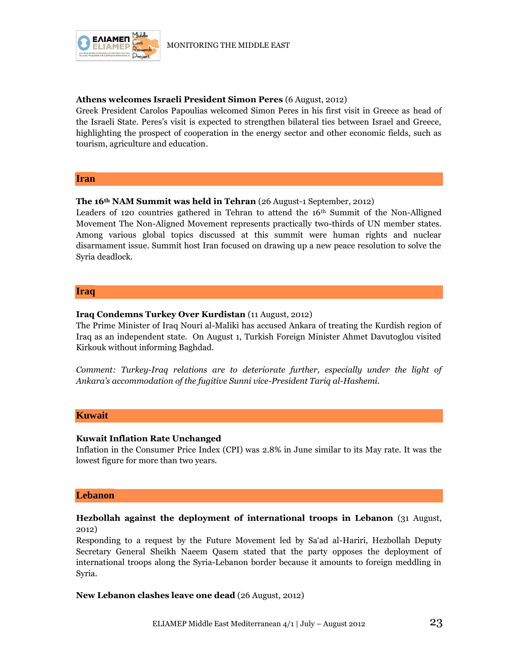

#### **Athens welcomes Israeli President Simon Peres** (6 August, 2012)

Greek President Carolos Papoulias welcomed Simon Peres in his first visit in Greece as head of the Israeli State. Peres's visit is expected to strengthen bilateral ties between Israel and Greece, highlighting the prospect of cooperation in the energy sector and other economic fields, such as tourism, agriculture and education.

#### **Iran**

#### **The 16th NAM Summit was held in Tehran** (26 August-1 September, 2012)

Leaders of 120 countries gathered in Tehran to attend the 16th Summit of the Non-Alligned Movement The Non-Aligned Movement represents practically two-thirds of UN member states. Among various global topics discussed at this summit were human rights and nuclear disarmament issue. Summit host Iran focused on drawing up a new peace resolution to solve the Syria deadlock.

#### **Iraq**

#### **Iraq Condemns Turkey Over Kurdistan** (11 August, 2012)

The Prime Minister of Iraq Nouri al-Maliki has accused Ankara of treating the Kurdish region of Iraq as an independent state. On August 1, Turkish Foreign Minister Ahmet Davutoglou visited Kirkouk without informing Baghdad.

*Comment: Turkey-Iraq relations are to deteriorate further, especially under the light of Ankara's accommodation of the fugitive Sunni vice-President Tariq al-Hashemi.*

#### **Kuwait**

#### **Kuwait Inflation Rate Unchanged**

Inflation in the Consumer Price Index (CPI) was 2.8% in June similar to its May rate. It was the lowest figure for more than two years.

#### **Lebanon**

#### **Hezbollah against the deployment of international troops in Lebanon** (31 August, 2012)

Responding to a request by the Future Movement led by Sa'ad al-Hariri, Hezbollah Deputy Secretary General Sheikh Naeem Qasem stated that the party opposes the deployment of international troops along the Syria-Lebanon border because it amounts to foreign meddling in Syria.

**New Lebanon clashes leave one dead** (26 August, 2012)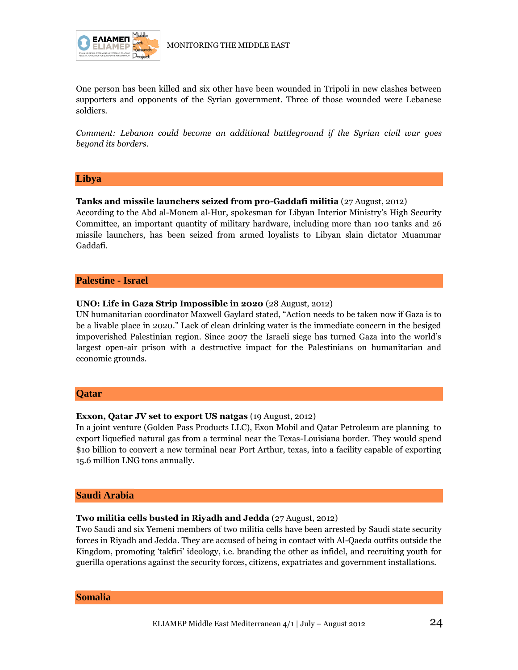

One person has been killed and six other have been wounded in Tripoli in new clashes between supporters and opponents of the Syrian government. Three of those wounded were Lebanese soldiers.

*Comment: Lebanon could become an additional battleground if the Syrian civil war goes beyond its borders.*

#### **Libya**

#### **Tanks and missile launchers seized from pro-Gaddafi militia** (27 August, 2012)

According to the Abd al-Monem al-Hur, spokesman for Libyan Interior Ministry's High Security Committee, an important quantity of military hardware, including more than 100 tanks and 26 missile launchers, has been seized from armed loyalists to Libyan slain dictator Muammar Gaddafi.

#### **Palestine - Israel**

#### **UNO: Life in Gaza Strip Impossible in 2020** (28 August, 2012)

UN humanitarian coordinator Maxwell Gaylard stated, "Action needs to be taken now if Gaza is to be a livable place in 2020." Lack of clean drinking water is the immediate concern in the besiged impoverished Palestinian region. Since 2007 the Israeli siege has turned Gaza into the world's largest open-air prison with a destructive impact for the Palestinians on humanitarian and economic grounds.

#### **Qatar**

#### **Exxon, Qatar JV set to export US natgas** (19 August, 2012)

In a joint venture (Golden Pass Products LLC), Exon Mobil and Qatar Petroleum are planning to export liquefied natural gas from a terminal near the Texas-Louisiana border. They would spend \$10 billion to convert a new terminal near Port Arthur, texas, into a facility capable of exporting 15.6 million LNG tons annually.

#### **Saudi Arabia**

#### **Two militia cells busted in Riyadh and Jedda** (27 August, 2012)

Two Saudi and six Yemeni members of two militia cells have been arrested by Saudi state security forces in Riyadh and Jedda. They are accused of being in contact with Al-Qaeda outfits outside the Kingdom, promoting 'takfiri' ideology, i.e. branding the other as infidel, and recruiting youth for guerilla operations against the security forces, citizens, expatriates and government installations.

#### **Somalia**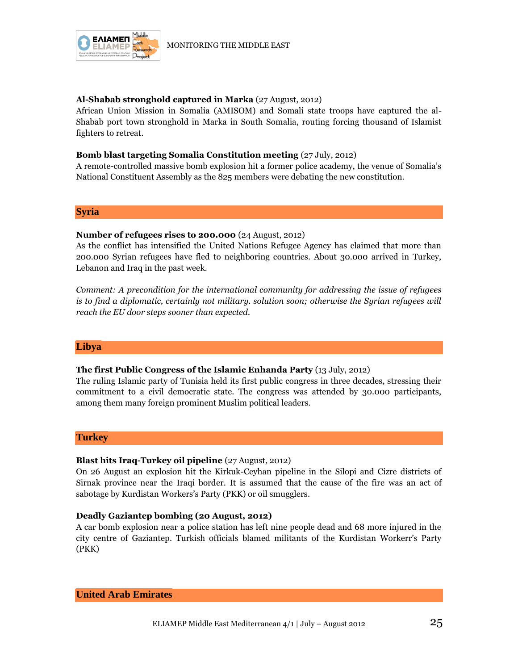

#### **Al-Shabab stronghold captured in Marka** (27 August, 2012)

African Union Mission in Somalia (AMISOM) and Somali state troops have captured the al-Shabab port town stronghold in Marka in South Somalia, routing forcing thousand of Islamist fighters to retreat.

#### **Bomb blast targeting Somalia Constitution meeting** (27 July, 2012)

A remote-controlled massive bomb explosion hit a former police academy, the venue of Somalia's National Constituent Assembly as the 825 members were debating the new constitution.

#### **Syria**

#### **Number of refugees rises to 200.000** (24 August, 2012)

As the conflict has intensified the United Nations Refugee Agency has claimed that more than 200.000 Syrian refugees have fled to neighboring countries. About 30.000 arrived in Turkey, Lebanon and Iraq in the past week.

*Comment: A precondition for the international community for addressing the issue of refugees is to find a diplomatic, certainly not military. solution soon; otherwise the Syrian refugees will reach the EU door steps sooner than expected.*

#### **Libya**

#### **The first Public Congress of the Islamic Enhanda Party** (13 July, 2012)

The ruling Islamic party of Tunisia held its first public congress in three decades, stressing their commitment to a civil democratic state. The congress was attended by 30.000 participants, among them many foreign prominent Muslim political leaders.

#### **Turkey**

#### **Blast hits Iraq-Turkey oil pipeline** (27 August, 2012)

On 26 August an explosion hit the Kirkuk-Ceyhan pipeline in the Silopi and Cizre districts of Sirnak province near the Iraqi border. It is assumed that the cause of the fire was an act of sabotage by Kurdistan Workers's Party (PKK) or oil smugglers.

#### **Deadly Gaziantep bombing (20 August, 2012)**

A car bomb explosion near a police station has left nine people dead and 68 more injured in the city centre of Gaziantep. Turkish officials blamed militants of the Kurdistan Workerr's Party (PKK)